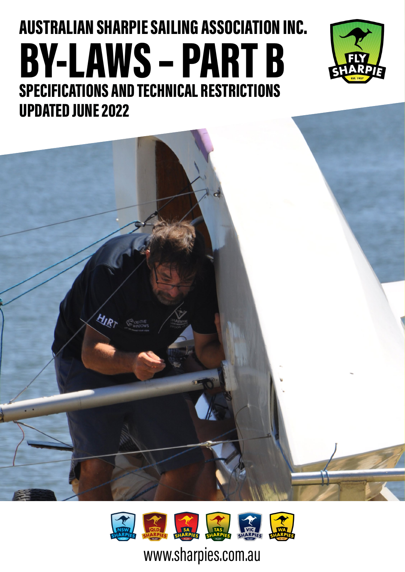# BY-LAWS – PART B AUSTRALIAN SHARPIE SAILING ASSOCIATION INC. SPECIFICATIONS AND TECHNICAL RESTRICTIONS UPDATED JUNE 2022







## www.sharpies.com.au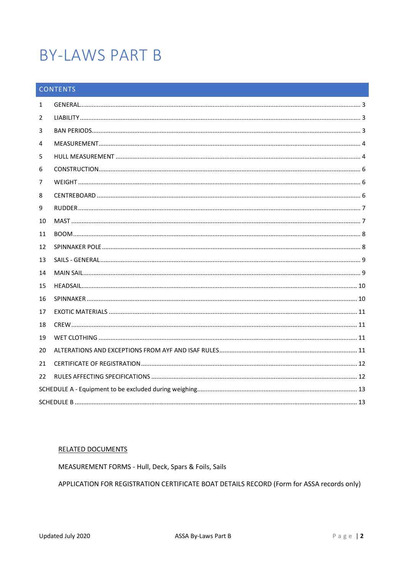### **BY-LAWS PART B**

#### CONTENTS

| 1  |  |  |
|----|--|--|
| 2  |  |  |
| 3  |  |  |
| 4  |  |  |
| 5  |  |  |
| 6  |  |  |
| 7  |  |  |
| 8  |  |  |
| 9  |  |  |
| 10 |  |  |
| 11 |  |  |
| 12 |  |  |
| 13 |  |  |
| 14 |  |  |
| 15 |  |  |
| 16 |  |  |
| 17 |  |  |
| 18 |  |  |
| 19 |  |  |
| 20 |  |  |
| 21 |  |  |
| 22 |  |  |
|    |  |  |
|    |  |  |

#### **RELATED DOCUMENTS**

MEASUREMENT FORMS - Hull, Deck, Spars & Foils, Sails

APPLICATION FOR REGISTRATION CERTIFICATE BOAT DETAILS RECORD (Form for ASSA records only)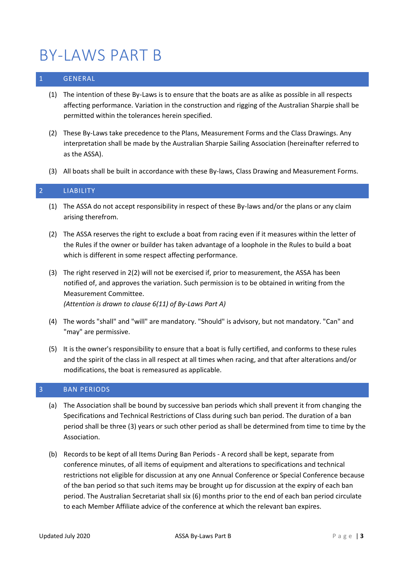### BY-LAWS PART B

#### <span id="page-2-0"></span>**GENERAL**

- (1) The intention of these By-Laws is to ensure that the boats are as alike as possible in all respects affecting performance. Variation in the construction and rigging of the Australian Sharpie shall be permitted within the tolerances herein specified.
- (2) These By-Laws take precedence to the Plans, Measurement Forms and the Class Drawings. Any interpretation shall be made by the Australian Sharpie Sailing Association (hereinafter referred to as the ASSA).
- (3) All boats shall be built in accordance with these By-laws, Class Drawing and Measurement Forms.

#### <span id="page-2-1"></span>2 LIABILITY

- (1) The ASSA do not accept responsibility in respect of these By-laws and/or the plans or any claim arising therefrom.
- (2) The ASSA reserves the right to exclude a boat from racing even if it measures within the letter of the Rules if the owner or builder has taken advantage of a loophole in the Rules to build a boat which is different in some respect affecting performance.
- (3) The right reserved in 2(2) will not be exercised if, prior to measurement, the ASSA has been notified of, and approves the variation. Such permission is to be obtained in writing from the Measurement Committee. *(Attention is drawn to clause 6(11) of By-Laws Part A)*
- (4) The words "shall" and "will" are mandatory. "Should" is advisory, but not mandatory. "Can" and "may" are permissive.
- (5) It is the owner's responsibility to ensure that a boat is fully certified, and conforms to these rules and the spirit of the class in all respect at all times when racing, and that after alterations and/or modifications, the boat is remeasured as applicable.

#### <span id="page-2-2"></span>3 BAN PERIODS

- (a) The Association shall be bound by successive ban periods which shall prevent it from changing the Specifications and Technical Restrictions of Class during such ban period. The duration of a ban period shall be three (3) years or such other period as shall be determined from time to time by the Association.
- (b) Records to be kept of all Items During Ban Periods A record shall be kept, separate from conference minutes, of all items of equipment and alterations to specifications and technical restrictions not eligible for discussion at any one Annual Conference or Special Conference because of the ban period so that such items may be brought up for discussion at the expiry of each ban period. The Australian Secretariat shall six (6) months prior to the end of each ban period circulate to each Member Affiliate advice of the conference at which the relevant ban expires.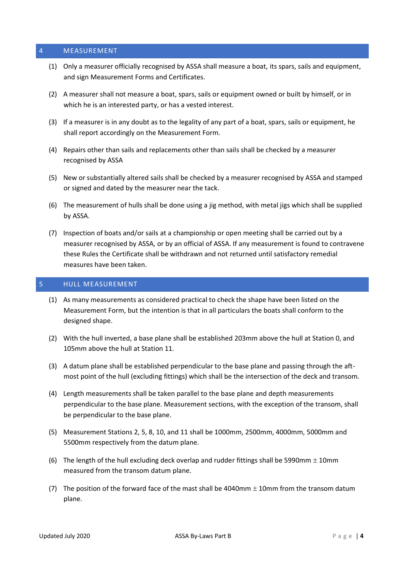#### <span id="page-3-0"></span>4 MEASUREMENT

- (1) Only a measurer officially recognised by ASSA shall measure a boat, its spars, sails and equipment, and sign Measurement Forms and Certificates.
- (2) A measurer shall not measure a boat, spars, sails or equipment owned or built by himself, or in which he is an interested party, or has a vested interest.
- (3) If a measurer is in any doubt as to the legality of any part of a boat, spars, sails or equipment, he shall report accordingly on the Measurement Form.
- (4) Repairs other than sails and replacements other than sails shall be checked by a measurer recognised by ASSA
- (5) New or substantially altered sails shall be checked by a measurer recognised by ASSA and stamped or signed and dated by the measurer near the tack.
- (6) The measurement of hulls shall be done using a jig method, with metal jigs which shall be supplied by ASSA.
- (7) Inspection of boats and/or sails at a championship or open meeting shall be carried out by a measurer recognised by ASSA, or by an official of ASSA. If any measurement is found to contravene these Rules the Certificate shall be withdrawn and not returned until satisfactory remedial measures have been taken.

#### <span id="page-3-1"></span>5 HULL MEASUREMENT

- (1) As many measurements as considered practical to check the shape have been listed on the Measurement Form, but the intention is that in all particulars the boats shall conform to the designed shape.
- (2) With the hull inverted, a base plane shall be established 203mm above the hull at Station 0, and 105mm above the hull at Station 11.
- (3) A datum plane shall be established perpendicular to the base plane and passing through the aftmost point of the hull (excluding fittings) which shall be the intersection of the deck and transom.
- (4) Length measurements shall be taken parallel to the base plane and depth measurements perpendicular to the base plane. Measurement sections, with the exception of the transom, shall be perpendicular to the base plane.
- (5) Measurement Stations 2, 5, 8, 10, and 11 shall be 1000mm, 2500mm, 4000mm, 5000mm and 5500mm respectively from the datum plane.
- (6) The length of the hull excluding deck overlap and rudder fittings shall be 5990mm  $\pm$  10mm measured from the transom datum plane.
- (7) The position of the forward face of the mast shall be 4040mm  $\pm$  10mm from the transom datum plane.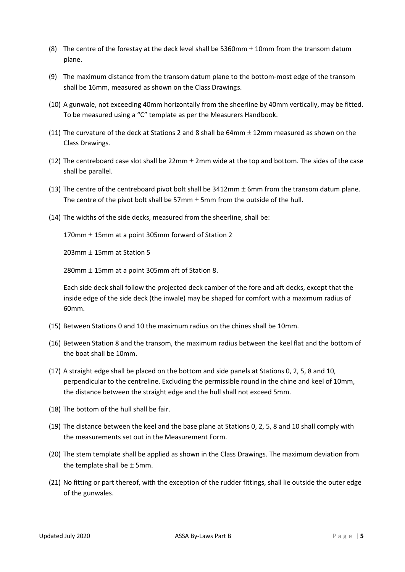- (8) The centre of the forestay at the deck level shall be 5360mm  $\pm$  10mm from the transom datum plane.
- (9) The maximum distance from the transom datum plane to the bottom-most edge of the transom shall be 16mm, measured as shown on the Class Drawings.
- (10) A gunwale, not exceeding 40mm horizontally from the sheerline by 40mm vertically, may be fitted. To be measured using a "C" template as per the Measurers Handbook.
- (11) The curvature of the deck at Stations 2 and 8 shall be 64mm  $\pm$  12mm measured as shown on the Class Drawings.
- (12) The centreboard case slot shall be 22mm  $\pm$  2mm wide at the top and bottom. The sides of the case shall be parallel.
- (13) The centre of the centreboard pivot bolt shall be  $3412$ mm  $\pm$  6mm from the transom datum plane. The centre of the pivot bolt shall be 57mm  $\pm$  5mm from the outside of the hull.
- (14) The widths of the side decks, measured from the sheerline, shall be:

170mm  $\pm$  15mm at a point 305mm forward of Station 2

203mm  $\pm$  15mm at Station 5

280mm  $\pm$  15mm at a point 305mm aft of Station 8.

Each side deck shall follow the projected deck camber of the fore and aft decks, except that the inside edge of the side deck (the inwale) may be shaped for comfort with a maximum radius of 60mm.

- (15) Between Stations 0 and 10 the maximum radius on the chines shall be 10mm.
- (16) Between Station 8 and the transom, the maximum radius between the keel flat and the bottom of the boat shall be 10mm.
- (17) A straight edge shall be placed on the bottom and side panels at Stations 0, 2, 5, 8 and 10, perpendicular to the centreline. Excluding the permissible round in the chine and keel of 10mm, the distance between the straight edge and the hull shall not exceed 5mm.
- (18) The bottom of the hull shall be fair.
- (19) The distance between the keel and the base plane at Stations 0, 2, 5, 8 and 10 shall comply with the measurements set out in the Measurement Form.
- (20) The stem template shall be applied as shown in the Class Drawings. The maximum deviation from the template shall be  $\pm$  5mm.
- (21) No fitting or part thereof, with the exception of the rudder fittings, shall lie outside the outer edge of the gunwales.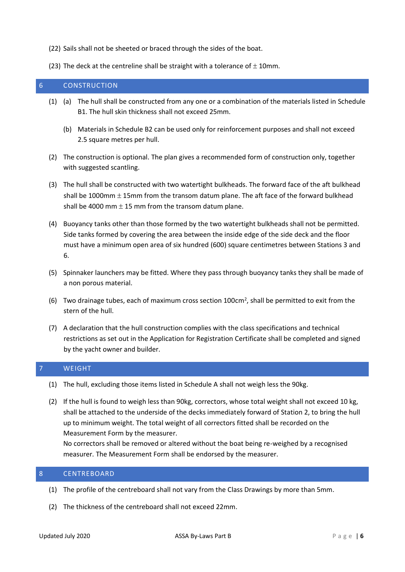- (22) Sails shall not be sheeted or braced through the sides of the boat.
- (23) The deck at the centreline shall be straight with a tolerance of  $\pm$  10mm.

#### <span id="page-5-0"></span>6 CONSTRUCTION

- (1) (a) The hull shall be constructed from any one or a combination of the materials listed in Schedule B1. The hull skin thickness shall not exceed 25mm.
	- (b) Materials in Schedule B2 can be used only for reinforcement purposes and shall not exceed 2.5 square metres per hull.
- (2) The construction is optional. The plan gives a recommended form of construction only, together with suggested scantling.
- (3) The hull shall be constructed with two watertight bulkheads. The forward face of the aft bulkhead shall be 1000mm  $\pm$  15mm from the transom datum plane. The aft face of the forward bulkhead shall be 4000 mm  $\pm$  15 mm from the transom datum plane.
- (4) Buoyancy tanks other than those formed by the two watertight bulkheads shall not be permitted. Side tanks formed by covering the area between the inside edge of the side deck and the floor must have a minimum open area of six hundred (600) square centimetres between Stations 3 and 6.
- (5) Spinnaker launchers may be fitted. Where they pass through buoyancy tanks they shall be made of a non porous material.
- (6) Two drainage tubes, each of maximum cross section 100cm<sup>2</sup> , shall be permitted to exit from the stern of the hull.
- (7) A declaration that the hull construction complies with the class specifications and technical restrictions as set out in the Application for Registration Certificate shall be completed and signed by the yacht owner and builder.

#### <span id="page-5-1"></span>**WEIGHT**

- (1) The hull, excluding those items listed in Schedule A shall not weigh less the 90kg.
- (2) If the hull is found to weigh less than 90kg, correctors, whose total weight shall not exceed 10 kg, shall be attached to the underside of the decks immediately forward of Station 2, to bring the hull up to minimum weight. The total weight of all correctors fitted shall be recorded on the Measurement Form by the measurer. No correctors shall be removed or altered without the boat being re-weighed by a recognised measurer. The Measurement Form shall be endorsed by the measurer.

#### <span id="page-5-2"></span>8 CENTREBOARD

- (1) The profile of the centreboard shall not vary from the Class Drawings by more than 5mm.
- (2) The thickness of the centreboard shall not exceed 22mm.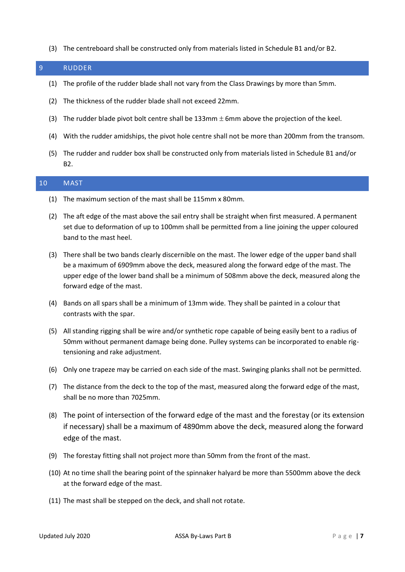(3) The centreboard shall be constructed only from materials listed in Schedule B1 and/or B2.

#### <span id="page-6-0"></span>9 RUDDER

- (1) The profile of the rudder blade shall not vary from the Class Drawings by more than 5mm.
- (2) The thickness of the rudder blade shall not exceed 22mm.
- (3) The rudder blade pivot bolt centre shall be 133mm  $\pm$  6mm above the projection of the keel.
- (4) With the rudder amidships, the pivot hole centre shall not be more than 200mm from the transom.
- (5) The rudder and rudder box shall be constructed only from materials listed in Schedule B1 and/or B2.

#### <span id="page-6-1"></span>10 MAST

- (1) The maximum section of the mast shall be 115mm x 80mm.
- (2) The aft edge of the mast above the sail entry shall be straight when first measured. A permanent set due to deformation of up to 100mm shall be permitted from a line joining the upper coloured band to the mast heel.
- (3) There shall be two bands clearly discernible on the mast. The lower edge of the upper band shall be a maximum of 6909mm above the deck, measured along the forward edge of the mast. The upper edge of the lower band shall be a minimum of 508mm above the deck, measured along the forward edge of the mast.
- (4) Bands on all spars shall be a minimum of 13mm wide. They shall be painted in a colour that contrasts with the spar.
- (5) All standing rigging shall be wire and/or synthetic rope capable of being easily bent to a radius of 50mm without permanent damage being done. Pulley systems can be incorporated to enable rigtensioning and rake adjustment.
- (6) Only one trapeze may be carried on each side of the mast. Swinging planks shall not be permitted.
- (7) The distance from the deck to the top of the mast, measured along the forward edge of the mast, shall be no more than 7025mm.
- (8) The point of intersection of the forward edge of the mast and the forestay (or its extension if necessary) shall be a maximum of 4890mm above the deck, measured along the forward edge of the mast.
- (9) The forestay fitting shall not project more than 50mm from the front of the mast.
- (10) At no time shall the bearing point of the spinnaker halyard be more than 5500mm above the deck at the forward edge of the mast.
- (11) The mast shall be stepped on the deck, and shall not rotate.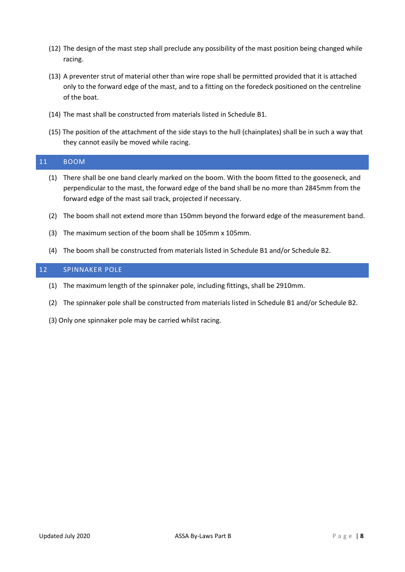- (12) The design of the mast step shall preclude any possibility of the mast position being changed while racing.
- (13) A preventer strut of material other than wire rope shall be permitted provided that it is attached only to the forward edge of the mast, and to a fitting on the foredeck positioned on the centreline of the boat.
- (14) The mast shall be constructed from materials listed in Schedule B1.
- (15) The position of the attachment of the side stays to the hull (chainplates) shall be in such a way that they cannot easily be moved while racing.

#### <span id="page-7-0"></span>11 BOOM

- (1) There shall be one band clearly marked on the boom. With the boom fitted to the gooseneck, and perpendicular to the mast, the forward edge of the band shall be no more than 2845mm from the forward edge of the mast sail track, projected if necessary.
- (2) The boom shall not extend more than 150mm beyond the forward edge of the measurement band.
- (3) The maximum section of the boom shall be 105mm x 105mm.
- (4) The boom shall be constructed from materials listed in Schedule B1 and/or Schedule B2.

#### <span id="page-7-1"></span>12 SPINNAKER POLE

- (1) The maximum length of the spinnaker pole, including fittings, shall be 2910mm.
- (2) The spinnaker pole shall be constructed from materials listed in Schedule B1 and/or Schedule B2.
- (3) Only one spinnaker pole may be carried whilst racing.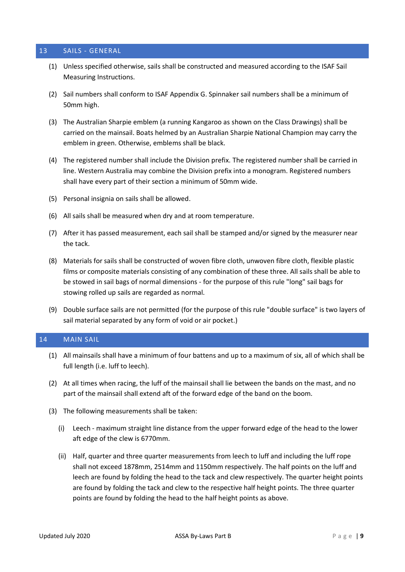#### <span id="page-8-0"></span>13 SAILS - GENERAL

- (1) Unless specified otherwise, sails shall be constructed and measured according to the ISAF Sail Measuring Instructions.
- (2) Sail numbers shall conform to ISAF Appendix G. Spinnaker sail numbers shall be a minimum of 50mm high.
- (3) The Australian Sharpie emblem (a running Kangaroo as shown on the Class Drawings) shall be carried on the mainsail. Boats helmed by an Australian Sharpie National Champion may carry the emblem in green. Otherwise, emblems shall be black.
- (4) The registered number shall include the Division prefix. The registered number shall be carried in line. Western Australia may combine the Division prefix into a monogram. Registered numbers shall have every part of their section a minimum of 50mm wide.
- (5) Personal insignia on sails shall be allowed.
- (6) All sails shall be measured when dry and at room temperature.
- (7) After it has passed measurement, each sail shall be stamped and/or signed by the measurer near the tack.
- (8) Materials for sails shall be constructed of woven fibre cloth, unwoven fibre cloth, flexible plastic films or composite materials consisting of any combination of these three. All sails shall be able to be stowed in sail bags of normal dimensions - for the purpose of this rule "long" sail bags for stowing rolled up sails are regarded as normal.
- (9) Double surface sails are not permitted (for the purpose of this rule "double surface" is two layers of sail material separated by any form of void or air pocket.)

#### <span id="page-8-1"></span>14 MAIN SAIL

- (1) All mainsails shall have a minimum of four battens and up to a maximum of six, all of which shall be full length (i.e. luff to leech).
- (2) At all times when racing, the luff of the mainsail shall lie between the bands on the mast, and no part of the mainsail shall extend aft of the forward edge of the band on the boom.
- (3) The following measurements shall be taken:
	- (i) Leech maximum straight line distance from the upper forward edge of the head to the lower aft edge of the clew is 6770mm.
	- (ii) Half, quarter and three quarter measurements from leech to luff and including the luff rope shall not exceed 1878mm, 2514mm and 1150mm respectively. The half points on the luff and leech are found by folding the head to the tack and clew respectively. The quarter height points are found by folding the tack and clew to the respective half height points. The three quarter points are found by folding the head to the half height points as above.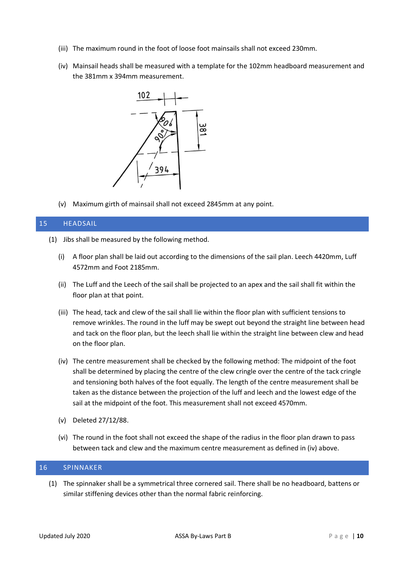- (iii) The maximum round in the foot of loose foot mainsails shall not exceed 230mm.
- (iv) Mainsail heads shall be measured with a template for the 102mm headboard measurement and the 381mm x 394mm measurement.



(v) Maximum girth of mainsail shall not exceed 2845mm at any point.

#### <span id="page-9-0"></span>15 HEADSAIL

- (1) Jibs shall be measured by the following method.
	- (i) A floor plan shall be laid out according to the dimensions of the sail plan. Leech 4420mm, Luff 4572mm and Foot 2185mm.
	- (ii) The Luff and the Leech of the sail shall be projected to an apex and the sail shall fit within the floor plan at that point.
	- (iii) The head, tack and clew of the sail shall lie within the floor plan with sufficient tensions to remove wrinkles. The round in the luff may be swept out beyond the straight line between head and tack on the floor plan, but the leech shall lie within the straight line between clew and head on the floor plan.
	- (iv) The centre measurement shall be checked by the following method: The midpoint of the foot shall be determined by placing the centre of the clew cringle over the centre of the tack cringle and tensioning both halves of the foot equally. The length of the centre measurement shall be taken as the distance between the projection of the luff and leech and the lowest edge of the sail at the midpoint of the foot. This measurement shall not exceed 4570mm.
	- (v) Deleted 27/12/88.
	- (vi) The round in the foot shall not exceed the shape of the radius in the floor plan drawn to pass between tack and clew and the maximum centre measurement as defined in (iv) above.

#### <span id="page-9-1"></span>16 SPINNAKER

(1) The spinnaker shall be a symmetrical three cornered sail. There shall be no headboard, battens or similar stiffening devices other than the normal fabric reinforcing.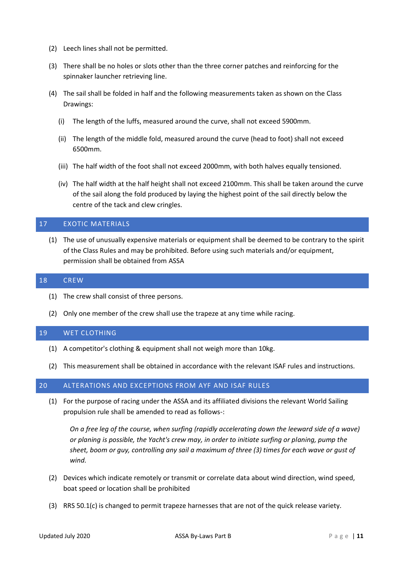- (2) Leech lines shall not be permitted.
- (3) There shall be no holes or slots other than the three corner patches and reinforcing for the spinnaker launcher retrieving line.
- (4) The sail shall be folded in half and the following measurements taken as shown on the Class Drawings:
	- (i) The length of the luffs, measured around the curve, shall not exceed 5900mm.
	- (ii) The length of the middle fold, measured around the curve (head to foot) shall not exceed 6500mm.
	- (iii) The half width of the foot shall not exceed 2000mm, with both halves equally tensioned.
	- (iv) The half width at the half height shall not exceed 2100mm. This shall be taken around the curve of the sail along the fold produced by laying the highest point of the sail directly below the centre of the tack and clew cringles.

#### <span id="page-10-0"></span>17 EXOTIC MATERIALS

(1) The use of unusually expensive materials or equipment shall be deemed to be contrary to the spirit of the Class Rules and may be prohibited. Before using such materials and/or equipment, permission shall be obtained from ASSA

#### <span id="page-10-1"></span>18 CREW

- (1) The crew shall consist of three persons.
- (2) Only one member of the crew shall use the trapeze at any time while racing.

#### <span id="page-10-2"></span>19 WET CLOTHING

- (1) A competitor's clothing & equipment shall not weigh more than 10kg.
- (2) This measurement shall be obtained in accordance with the relevant ISAF rules and instructions.

#### <span id="page-10-3"></span>20 ALTERATIONS AND EXCEPTIONS FROM AYF AND ISAF RULES

(1) For the purpose of racing under the ASSA and its affiliated divisions the relevant World Sailing propulsion rule shall be amended to read as follows-:

*On a free leg of the course, when surfing (rapidly accelerating down the leeward side of a wave) or planing is possible, the Yacht's crew may, in order to initiate surfing or planing, pump the sheet, boom or guy, controlling any sail a maximum of three (3) times for each wave or gust of wind.*

- (2) Devices which indicate remotely or transmit or correlate data about wind direction, wind speed, boat speed or location shall be prohibited
- (3) RRS 50.1(c) is changed to permit trapeze harnesses that are not of the quick release variety.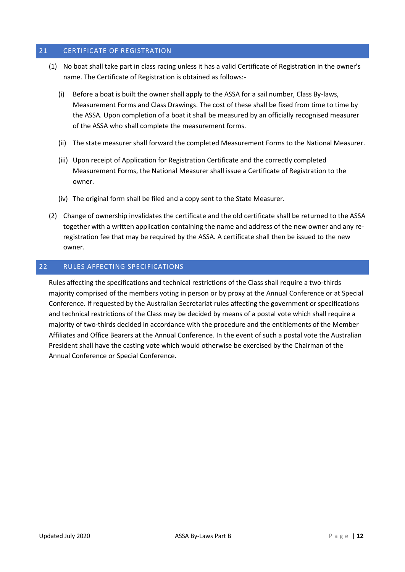#### <span id="page-11-0"></span>21 CERTIFICATE OF REGISTRATION

- (1) No boat shall take part in class racing unless it has a valid Certificate of Registration in the owner's name. The Certificate of Registration is obtained as follows:-
	- (i) Before a boat is built the owner shall apply to the ASSA for a sail number, Class By-laws, Measurement Forms and Class Drawings. The cost of these shall be fixed from time to time by the ASSA. Upon completion of a boat it shall be measured by an officially recognised measurer of the ASSA who shall complete the measurement forms.
	- (ii) The state measurer shall forward the completed Measurement Forms to the National Measurer.
	- (iii) Upon receipt of Application for Registration Certificate and the correctly completed Measurement Forms, the National Measurer shall issue a Certificate of Registration to the owner.
	- (iv) The original form shall be filed and a copy sent to the State Measurer.
- (2) Change of ownership invalidates the certificate and the old certificate shall be returned to the ASSA together with a written application containing the name and address of the new owner and any reregistration fee that may be required by the ASSA. A certificate shall then be issued to the new owner.

#### <span id="page-11-1"></span>22 RULES AFFECTING SPECIFICATIONS

Rules affecting the specifications and technical restrictions of the Class shall require a two-thirds majority comprised of the members voting in person or by proxy at the Annual Conference or at Special Conference. If requested by the Australian Secretariat rules affecting the government or specifications and technical restrictions of the Class may be decided by means of a postal vote which shall require a majority of two-thirds decided in accordance with the procedure and the entitlements of the Member Affiliates and Office Bearers at the Annual Conference. In the event of such a postal vote the Australian President shall have the casting vote which would otherwise be exercised by the Chairman of the Annual Conference or Special Conference.